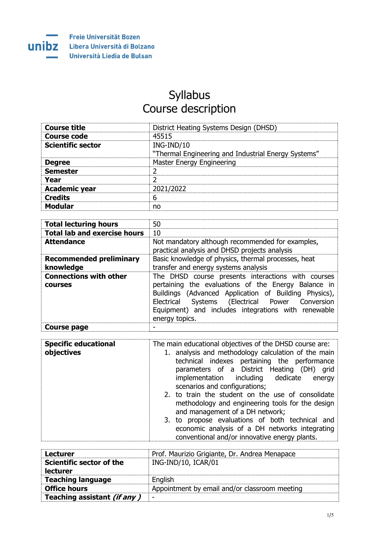

## Syllabus Course description

| <b>Course title</b>      | District Heating Systems Design (DHSD)              |
|--------------------------|-----------------------------------------------------|
| Course code              | 45515                                               |
| <b>Scientific sector</b> | ING-IND/10                                          |
|                          | "Thermal Engineering and Industrial Energy Systems" |
| <b>Degree</b>            | <b>Master Energy Engineering</b>                    |
| <b>Semester</b>          |                                                     |
| Year                     |                                                     |
| <b>Academic year</b>     | 2021/2022                                           |
| <b>Credits</b>           | 6                                                   |
| <b>Modular</b>           | no                                                  |

| <b>Total lecturing hours</b>                    | 50                                                                                                                                                                                                                                                                                                |  |
|-------------------------------------------------|---------------------------------------------------------------------------------------------------------------------------------------------------------------------------------------------------------------------------------------------------------------------------------------------------|--|
| <b>Total lab and exercise hours</b>             | 10                                                                                                                                                                                                                                                                                                |  |
| <b>Attendance</b>                               | Not mandatory although recommended for examples,<br>practical analysis and DHSD projects analysis                                                                                                                                                                                                 |  |
| <b>Recommended preliminary</b><br>knowledge     | Basic knowledge of physics, thermal processes, heat<br>transfer and energy systems analysis                                                                                                                                                                                                       |  |
| <b>Connections with other</b><br><b>COULSES</b> | The DHSD course presents interactions with courses<br>pertaining the evaluations of the Energy Balance in<br>Buildings (Advanced Application of Building Physics),<br>Systems (Electrical Power Conversion<br>Electrical<br>Equipment) and includes integrations with renewable<br>energy topics. |  |
| Course page                                     |                                                                                                                                                                                                                                                                                                   |  |

| <b>Specific educational</b><br>objectives | The main educational objectives of the DHSD course are:<br>1. analysis and methodology calculation of the main<br>technical indexes pertaining the performance<br>parameters of a District Heating (DH) grid<br>implementation including dedicate energy<br>scenarios and configurations;      |  |
|-------------------------------------------|------------------------------------------------------------------------------------------------------------------------------------------------------------------------------------------------------------------------------------------------------------------------------------------------|--|
|                                           | 2. to train the student on the use of consolidate<br>methodology and engineering tools for the design<br>and management of a DH network;<br>3. to propose evaluations of both technical and<br>economic analysis of a DH networks integrating<br>conventional and/or innovative energy plants. |  |

| <b>Lecturer</b>             | Prof. Maurizio Grigiante, Dr. Andrea Menapace |
|-----------------------------|-----------------------------------------------|
| Scientific sector of the    | ING-IND/10, ICAR/01                           |
| lecturer                    |                                               |
| <b>Teaching language</b>    | English                                       |
| <b>Office hours</b>         | Appointment by email and/or classroom meeting |
| Teaching assistant (if any) | -                                             |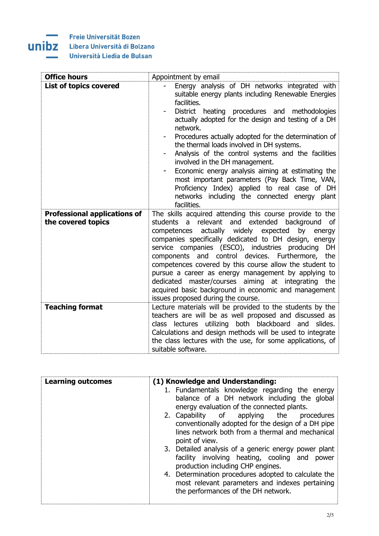## **Freie Universität Bozen**

Ē. ÷.

unibz

## Libera Università di Bolzano

Università Liedia de Bulsan

| <b>Office hours</b>                                       | Appointment by email                                                                                                                                                                                                                                                                                                                                                                                                                                                                                                                                                                                                                                          |
|-----------------------------------------------------------|---------------------------------------------------------------------------------------------------------------------------------------------------------------------------------------------------------------------------------------------------------------------------------------------------------------------------------------------------------------------------------------------------------------------------------------------------------------------------------------------------------------------------------------------------------------------------------------------------------------------------------------------------------------|
| <b>List of topics covered</b>                             | Energy analysis of DH networks integrated with<br>suitable energy plants including Renewable Energies<br>facilities.<br>District heating procedures and methodologies<br>actually adopted for the design and testing of a DH<br>network.<br>Procedures actually adopted for the determination of<br>the thermal loads involved in DH systems.<br>Analysis of the control systems and the facilities<br>involved in the DH management.<br>Economic energy analysis aiming at estimating the<br>most important parameters (Pay Back Time, VAN,<br>Proficiency Index) applied to real case of DH<br>networks including the connected energy plant<br>facilities. |
| <b>Professional applications of</b><br>the covered topics | The skills acquired attending this course provide to the<br>students a relevant and extended background<br>of<br>competences actually widely expected<br>by<br>energy<br>companies specifically dedicated to DH design, energy<br>service companies (ESCO), industries producing<br>DH<br>components and control devices. Furthermore,<br>the<br>competences covered by this course allow the student to<br>pursue a career as energy management by applying to<br>dedicated master/courses aiming at integrating the<br>acquired basic background in economic and management<br>issues proposed during the course.                                           |
| <b>Teaching format</b>                                    | Lecture materials will be provided to the students by the<br>teachers are will be as well proposed and discussed as<br>class lectures utilizing both blackboard and slides.<br>Calculations and design methods will be used to integrate<br>the class lectures with the use, for some applications, of<br>suitable software.                                                                                                                                                                                                                                                                                                                                  |

| <b>Learning outcomes</b> | (1) Knowledge and Understanding:                     |  |
|--------------------------|------------------------------------------------------|--|
|                          | 1. Fundamentals knowledge regarding the energy       |  |
|                          | balance of a DH network including the global         |  |
|                          | energy evaluation of the connected plants.           |  |
|                          | 2. Capability of applying the<br>procedures          |  |
|                          | conventionally adopted for the design of a DH pipe   |  |
|                          | lines network both from a thermal and mechanical     |  |
|                          | point of view.                                       |  |
|                          | 3. Detailed analysis of a generic energy power plant |  |
|                          | facility involving heating, cooling and power        |  |
|                          | production including CHP engines.                    |  |
|                          | 4. Determination procedures adopted to calculate the |  |
|                          | most relevant parameters and indexes pertaining      |  |
|                          | the performances of the DH network.                  |  |
|                          |                                                      |  |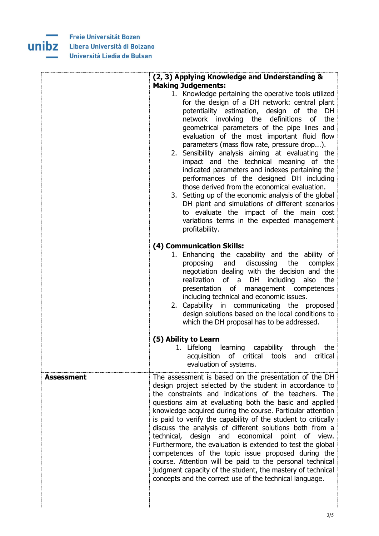

|                   | (2, 3) Applying Knowledge and Understanding &                                                                                                                                                                                                                                                                                                                                                                                                                                                                                                                                                                                                                                                                                                                                                                                                                |
|-------------------|--------------------------------------------------------------------------------------------------------------------------------------------------------------------------------------------------------------------------------------------------------------------------------------------------------------------------------------------------------------------------------------------------------------------------------------------------------------------------------------------------------------------------------------------------------------------------------------------------------------------------------------------------------------------------------------------------------------------------------------------------------------------------------------------------------------------------------------------------------------|
|                   | <b>Making Judgements:</b><br>1. Knowledge pertaining the operative tools utilized<br>for the design of a DH network: central plant<br>potentiality estimation, design of the<br>DH<br>network involving the<br>definitions<br>the<br>of<br>geometrical parameters of the pipe lines and<br>evaluation of the most important fluid flow<br>parameters (mass flow rate, pressure drop).<br>2. Sensibility analysis aiming at evaluating the<br>impact and the technical meaning of the<br>indicated parameters and indexes pertaining the<br>performances of the designed DH including<br>those derived from the economical evaluation.<br>3. Setting up of the economic analysis of the global<br>DH plant and simulations of different scenarios<br>to evaluate the impact of the main cost<br>variations terms in the expected management<br>profitability. |
|                   | (4) Communication Skills:<br>1. Enhancing the capability and the ability of<br>discussing<br>and<br>the<br>proposing<br>complex<br>negotiation dealing with the decision and the<br>realization<br>of a<br>DH<br>including<br>the<br>also<br>presentation of management competences<br>including technical and economic issues.<br>2. Capability in communicating the proposed<br>design solutions based on the local conditions to<br>which the DH proposal has to be addressed.                                                                                                                                                                                                                                                                                                                                                                            |
|                   | (5) Ability to Learn<br>1. Lifelong learning capability<br>through<br>the<br>of critical<br>tools<br>acquisition<br>and<br>critical<br>evaluation of systems.                                                                                                                                                                                                                                                                                                                                                                                                                                                                                                                                                                                                                                                                                                |
| <b>Assessment</b> | The assessment is based on the presentation of the DH<br>design project selected by the student in accordance to<br>the constraints and indications of the teachers. The<br>questions aim at evaluating both the basic and applied<br>knowledge acquired during the course. Particular attention<br>is paid to verify the capability of the student to critically<br>discuss the analysis of different solutions both from a<br>technical, design and economical point of view.<br>Furthermore, the evaluation is extended to test the global<br>competences of the topic issue proposed during the<br>course. Attention will be paid to the personal technical<br>judgment capacity of the student, the mastery of technical<br>concepts and the correct use of the technical language.                                                                     |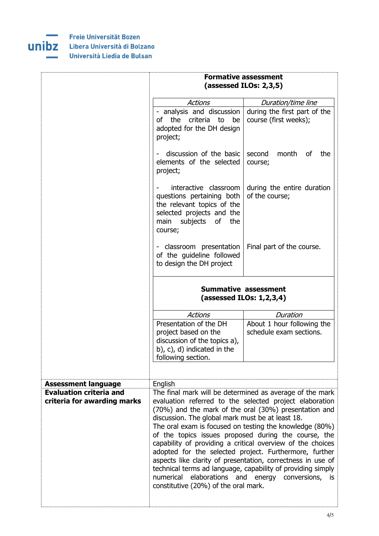

|                                                                                             | <b>Formative assessment</b><br>(assessed ILOs: 2,3,5)                                                                                               |                                                                                                                                                                                                                                                                                                                                                                                                                                                                                                                                                                                                            |
|---------------------------------------------------------------------------------------------|-----------------------------------------------------------------------------------------------------------------------------------------------------|------------------------------------------------------------------------------------------------------------------------------------------------------------------------------------------------------------------------------------------------------------------------------------------------------------------------------------------------------------------------------------------------------------------------------------------------------------------------------------------------------------------------------------------------------------------------------------------------------------|
|                                                                                             | <b>Actions</b>                                                                                                                                      | Duration/time line                                                                                                                                                                                                                                                                                                                                                                                                                                                                                                                                                                                         |
|                                                                                             | - analysis and discussion<br>of the criteria to<br>be<br>adopted for the DH design<br>project;                                                      | during the first part of the<br>course (first weeks);                                                                                                                                                                                                                                                                                                                                                                                                                                                                                                                                                      |
|                                                                                             | discussion of the basic<br>elements of the selected<br>project;                                                                                     | second<br>month<br>of<br>the<br>course;                                                                                                                                                                                                                                                                                                                                                                                                                                                                                                                                                                    |
|                                                                                             | interactive classroom<br>questions pertaining both<br>the relevant topics of the<br>selected projects and the<br>main subjects of<br>the<br>course; | during the entire duration<br>of the course;                                                                                                                                                                                                                                                                                                                                                                                                                                                                                                                                                               |
|                                                                                             | - classroom presentation<br>of the guideline followed<br>to design the DH project                                                                   | Final part of the course.                                                                                                                                                                                                                                                                                                                                                                                                                                                                                                                                                                                  |
|                                                                                             |                                                                                                                                                     | <b>Summative assessment</b><br>(assessed ILOs: $1,2,3,4$ )                                                                                                                                                                                                                                                                                                                                                                                                                                                                                                                                                 |
|                                                                                             | <b>Actions</b>                                                                                                                                      | Duration                                                                                                                                                                                                                                                                                                                                                                                                                                                                                                                                                                                                   |
|                                                                                             | Presentation of the DH<br>project based on the<br>discussion of the topics a),<br>b), c), d) indicated in the<br>following section.                 | About 1 hour following the<br>schedule exam sections.                                                                                                                                                                                                                                                                                                                                                                                                                                                                                                                                                      |
|                                                                                             |                                                                                                                                                     |                                                                                                                                                                                                                                                                                                                                                                                                                                                                                                                                                                                                            |
| <b>Assessment language</b><br><b>Evaluation criteria and</b><br>criteria for awarding marks | English<br>discussion. The global mark must be at least 18.<br>constitutive (20%) of the oral mark.                                                 | The final mark will be determined as average of the mark<br>evaluation referred to the selected project elaboration<br>(70%) and the mark of the oral (30%) presentation and<br>The oral exam is focused on testing the knowledge (80%)<br>of the topics issues proposed during the course, the<br>capability of providing a critical overview of the choices<br>adopted for the selected project. Furthermore, further<br>aspects like clarity of presentation, correctness in use of<br>technical terms ad language, capability of providing simply<br>numerical elaborations and energy conversions, is |